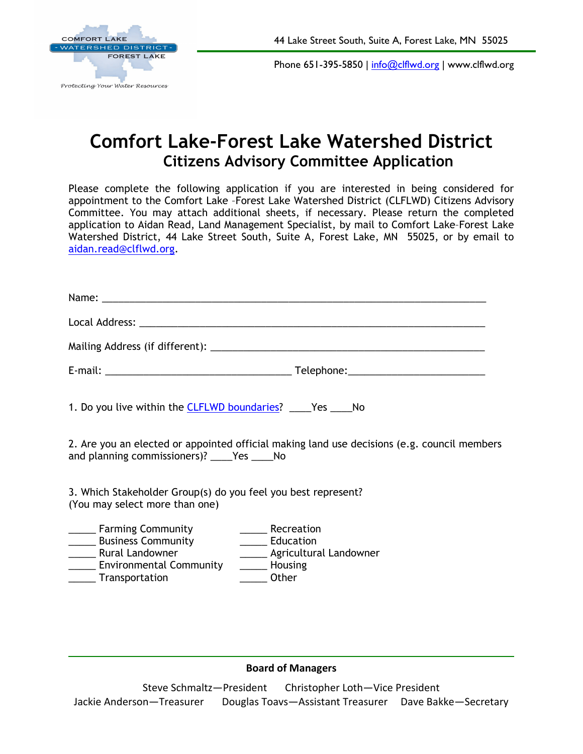



Phone 651-395-5850 | [info@clflwd.org](mailto:info@clflwd.org) | www.clflwd.org

## **Comfort Lake-Forest Lake Watershed District Citizens Advisory Committee Application**

Please complete the following application if you are interested in being considered for appointment to the Comfort Lake –Forest Lake Watershed District (CLFLWD) Citizens Advisory Committee. You may attach additional sheets, if necessary. Please return the completed application to Aidan Read, Land Management Specialist, by mail to Comfort Lake–Forest Lake Watershed District, 44 Lake Street South, Suite A, Forest Lake, MN 55025, or by email to [aidan.read@clflwd.org.](mailto:aidan.read@clflwd.org)

| 1. Do you live within the <b>CLFLWD</b> boundaries? ____Yes ____No                                                                                                                                                   |                               |
|----------------------------------------------------------------------------------------------------------------------------------------------------------------------------------------------------------------------|-------------------------------|
| 2. Are you an elected or appointed official making land use decisions (e.g. council members<br>and planning commissioners)? _____Yes ______No                                                                        |                               |
| 3. Which Stakeholder Group(s) do you feel you best represent?<br>(You may select more than one)                                                                                                                      |                               |
| ______ Recreation<br>______ Farming Community<br><b>Education</b> Business Community <b>COMEN</b><br>______ Rural Landowner<br>______ Environmental Community<br>_________ Housing<br>______ Transportation<br>Other | ______ Agricultural Landowner |

## **Board of Managers**